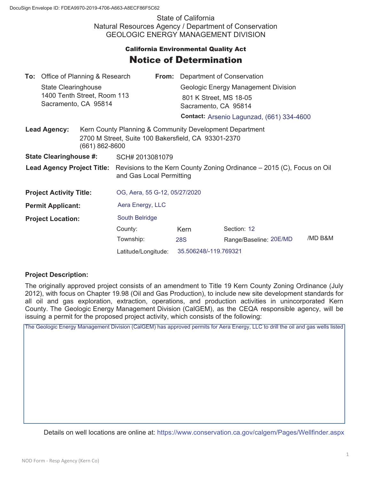State of California Natural Resources Agency / Department of Conservation GEOLOGIC ENERGY MANAGEMENT DIVISION

## **California Environmental Quality Act** Notice of Determination

|                                       | <b>To:</b> Office of Planning & Research           |                                                                                                                |                                                                                                                               |  | <b>From:</b> Department of Conservation   |                        |         |  |
|---------------------------------------|----------------------------------------------------|----------------------------------------------------------------------------------------------------------------|-------------------------------------------------------------------------------------------------------------------------------|--|-------------------------------------------|------------------------|---------|--|
|                                       | State Clearinghouse<br>1400 Tenth Street, Room 113 |                                                                                                                |                                                                                                                               |  | Geologic Energy Management Division       |                        |         |  |
|                                       |                                                    |                                                                                                                |                                                                                                                               |  | 801 K Street, MS 18-05                    |                        |         |  |
| Sacramento, CA 95814                  |                                                    |                                                                                                                |                                                                                                                               |  | Sacramento, CA 95814                      |                        |         |  |
|                                       |                                                    |                                                                                                                |                                                                                                                               |  | Contact: Arsenio Lagunzad, (661) 334-4600 |                        |         |  |
| <b>Lead Agency:</b><br>(661) 862-8600 |                                                    | Kern County Planning & Community Development Department<br>2700 M Street, Suite 100 Bakersfield, CA 93301-2370 |                                                                                                                               |  |                                           |                        |         |  |
| <b>State Clearinghouse #:</b>         |                                                    |                                                                                                                | SCH# 2013081079                                                                                                               |  |                                           |                        |         |  |
|                                       |                                                    |                                                                                                                | Lead Agency Project Title: Revisions to the Kern County Zoning Ordinance – 2015 (C), Focus on Oil<br>and Gas Local Permitting |  |                                           |                        |         |  |
| <b>Project Activity Title:</b>        |                                                    |                                                                                                                | OG, Aera, 55 G-12, 05/27/2020                                                                                                 |  |                                           |                        |         |  |
| <b>Permit Applicant:</b>              |                                                    |                                                                                                                | Aera Energy, LLC                                                                                                              |  |                                           |                        |         |  |
| <b>Project Location:</b>              |                                                    |                                                                                                                | South Belridge                                                                                                                |  |                                           |                        |         |  |
|                                       |                                                    |                                                                                                                | County:                                                                                                                       |  | Kern                                      | Section: 12            |         |  |
|                                       |                                                    |                                                                                                                | Township:                                                                                                                     |  | <b>28S</b>                                | Range/Baseline: 20E/MD | /MD B&M |  |
|                                       |                                                    |                                                                                                                | Latitude/Longitude:                                                                                                           |  | 35.506248/-119.769321                     |                        |         |  |

## **Project Description:**

The originally approved project consists of an amendment to Title 19 Kern County Zoning Ordinance (July 2012), with focus on Chapter 19.98 (Oil and Gas Production), to include new site development standards for all oil and gas exploration, extraction, operations, and production activities in unincorporated Kern County. The Geologic Energy Management Division (CalGEM), as the CEQA responsible agency, will be issuing a permit for the proposed project activity, which consists of the following:

The Geologic Energy Management Division (CalGEM) has approved permits for Aera Energy, LLC to drill the oil and gas wells listed

Details on well locations are online at: https://www.conservation.ca.gov/calgem/Pages/Wellfinder.aspx